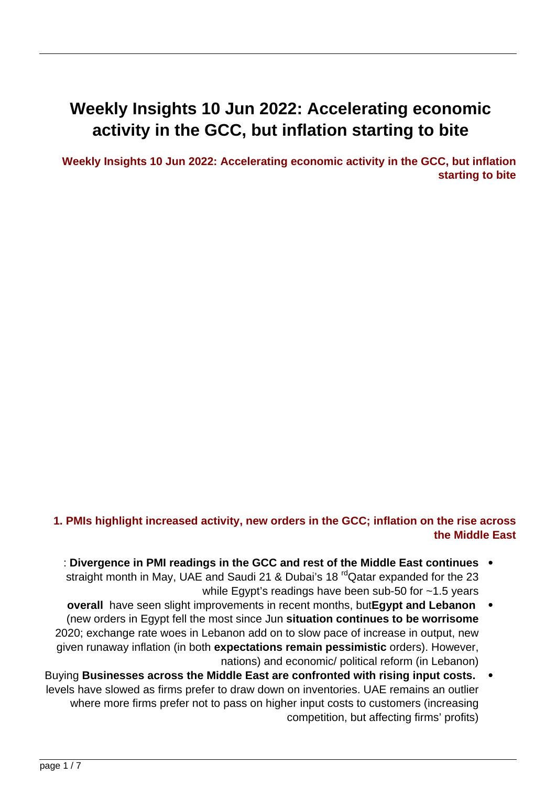# **Weekly Insights 10 Jun 2022: Accelerating economic** activity in the GCC, but inflation starting to bite

**Weekly Insights 10 Jun 2022: Accelerating economic activity in the GCC, but inflation starting to bite** 



Source: Refinitiv Datastream. Chart by Nasser Saidi & Associates

### **1. PMIs highlight increased activity, new orders in the GCC; inflation on the rise across the Middle East**

- **continues in PMI readings in the GCC and rest of the Middle East continues** straight month in May, UAE and Saudi 21 & Dubai's 18<sup>rd</sup> Qatar expanded for the 23 while Egypt's readings have been sub-50 for  $\sim$ 1.5 years
- *overall* have seen slight improvements in recent months, but Egypt and Lebanon (new orders in Egypt fell the most since Jun situation continues to be worrisome 2020; exchange rate woes in Lebanon add on to slow pace of increase in output, new given runaway inflation (in both **expectations remain pessimistic** orders). However, nations) and economic/ political reform (in Lebanon)
- Buying Businesses across the Middle East are confronted with rising input costs. levels have slowed as firms prefer to draw down on inventories. UAE remains an outlier where more firms prefer not to pass on higher input costs to customers (increasing competition, but affecting firms' profits)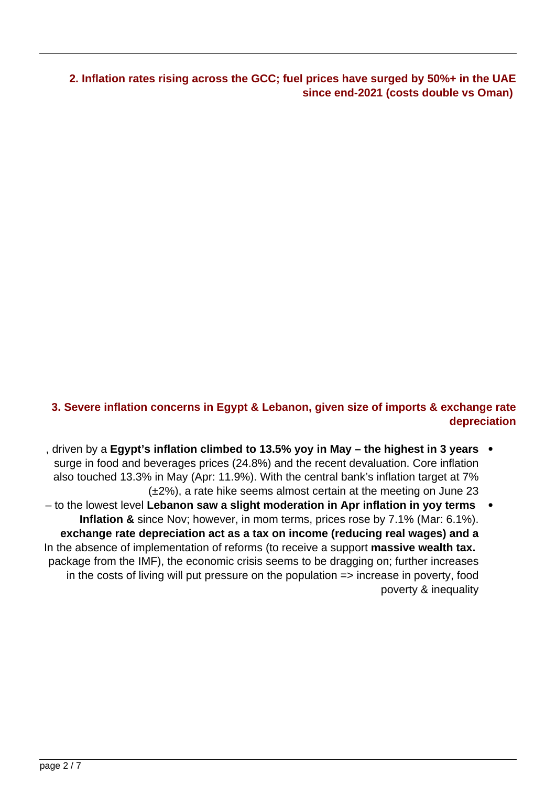



## **3. Severe inflation concerns in Egypt & Lebanon, given size of imports & exchange rate depreciation**

- , driven by a Egypt's inflation climbed to 13.5% yoy in May the highest in 3 years  $\bullet$ surge in food and beverages prices (24.8%) and the recent devaluation. Core inflation also touched 13.3% in May (Apr: 11.9%). With the central bank's inflation target at 7%  $(\pm 2\%)$ , a rate hike seems almost certain at the meeting on June 23
- to the lowest level Lebanon saw a slight moderation in Apr inflation in yoy terms **Inflation &** since Nov; however, in mom terms, prices rose by 7.1% (Mar: 6.1%). **exchange rate depreciation act as a tax on income (reducing real wages) and a** In the absence of implementation of reforms (to receive a support **massive wealth tax.** package from the IMF), the economic crisis seems to be dragging on; further increases in the costs of living will put pressure on the population  $\Rightarrow$  increase in poverty, food poverty & inequality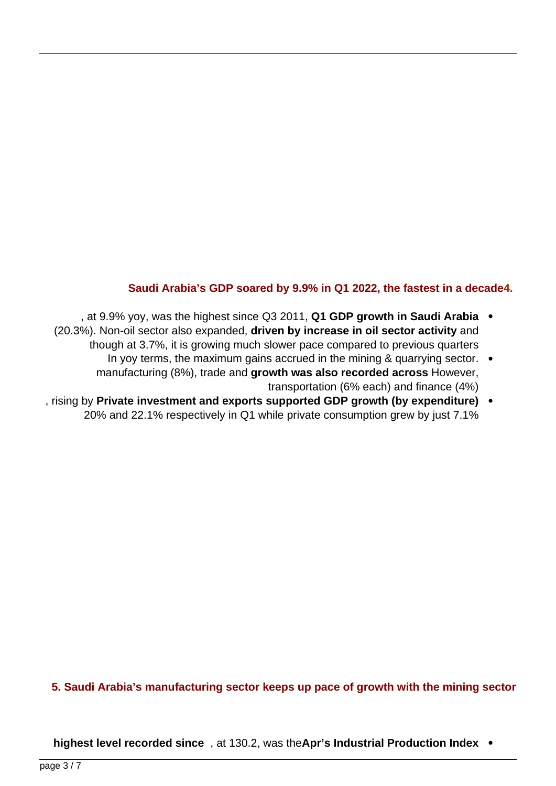

Source: Refinitiv Eikon, Central Bank of Egypt, Banque du Liban

### **Saudi Arabia's GDP soared by 9.9% in Q1 2022, the fastest in a decade4.**

- at 9.9% voy, was the highest since Q3 2011, Q1 GDP growth in Saudi Arabia . (20.3%). Non-oil sector also expanded, **driven by increase in oil sector activity** and though at 3.7%, it is growing much slower pace compared to previous guarters
	- In yoy terms, the maximum gains accrued in the mining & quarrying sector.  $\bullet$ manufacturing (8%), trade and **growth was also recorded across** However, transportation (6% each) and finance  $(4%)$
- **(expenditure investment and exports supported GDP growth (by expenditure)** 20% and 22.1% respectively in Q1 while private consumption grew by just 7.1%



#### **5. Saudi Arabia's manufacturing sector keeps up pace of growth with the mining sector**

**Index Index 130.2, was the Apr's Industrial Production Index •**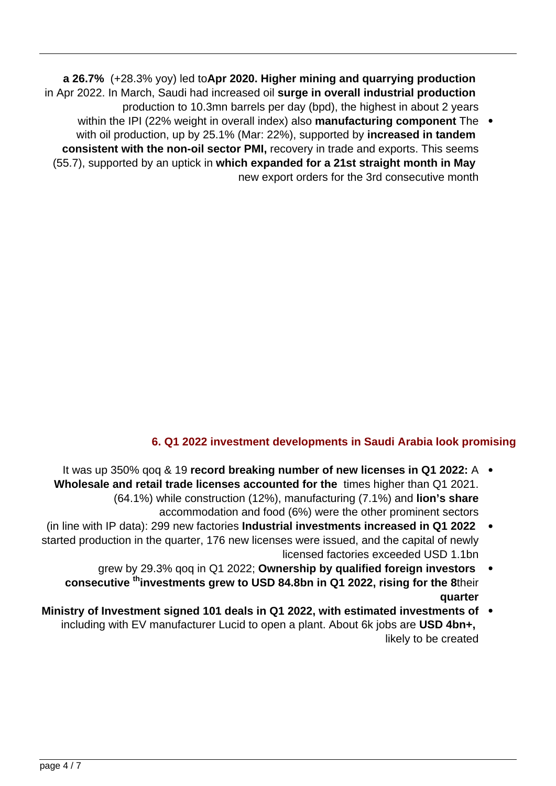**a 26.7%** (+28.3% yoy) led toApr 2020. Higher mining and quarrying production in Apr 2022. In March, Saudi had increased oil surge in overall industrial production production to 10.3mn barrels per day (bpd), the highest in about 2 years

within the IPI (22% weight in overall index) also **manufacturing component** The with oil production, up by 25.1% (Mar: 22%), supported by **increased in tandem** consistent with the non-oil sector PMI, recovery in trade and exports. This seems **(55.7), supported by an uptick in which expanded for a 21st straight month in Mav** new export orders for the 3rd consecutive month



Source: IHS Markit, GaStat. Charts by Nasser Saidi & Associates

# **6. Q1 2022 investment developments in Saudi Arabia look promising**

- It was up 350% gog & 19 **record breaking number of new licenses in Q1 2022:** A  $\bullet$ **Wholesale and retail trade licenses accounted for the times higher than Q1 2021.** (64.1%) while construction (12%), manufacturing (7.1%) and **lion's share** accommodation and food (6%) were the other prominent sectors
- (in line with IP data): 299 new factories Industrial investments increased in Q1 2022 started production in the quarter, 176 new licenses were issued, and the capital of newly licensed factories exceeded USD 1.1bn
	- grew by 29.3% gog in Q1 2022; Ownership by qualified foreign investors  **consecutive** <sup>th</sup> investments grew to USD 84.8 bn in Q1 2022, rising for the 8their **quarter**
- Ministry of Investment signed 101 deals in Q1 2022, with estimated investments of including with EV manufacturer Lucid to open a plant. About 6k jobs are **USD 4bn+**, likely to be created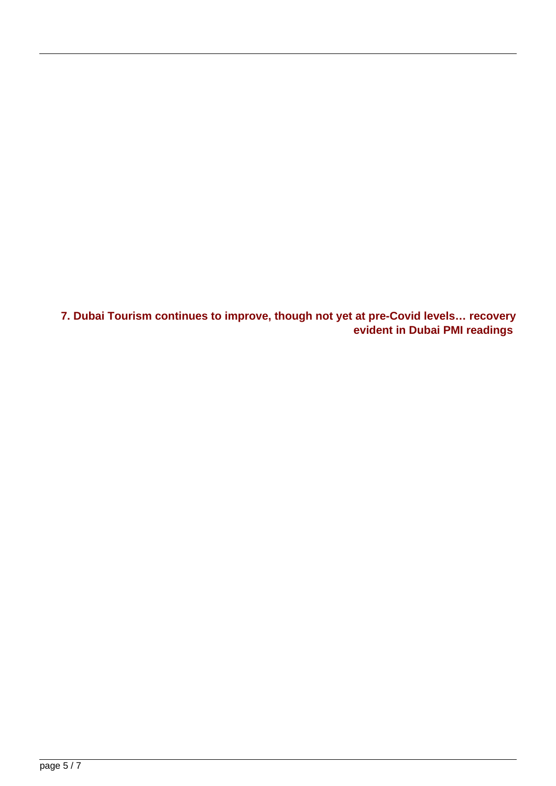#### Tadawul portfolio investment flows surge (USD mn)

Newly issued foreign licenses in Saudi Arabia





 $\begin{array}{cccccc} Q1 & Q2 & Q3 & Q4 & Q1 & Q2 & Q3 & Q4 & Q1 & Q2 & Q3 & Q4 & Q1 \\ 2019 & 2019 & 2019 & 2019 & 2020 & 2020 & 2020 & 2020 & 2020 & 2021 & 2021 & 2021 & 2021 & 2022 \end{array}$ 

Source: Investment Highlights Q1 2022, Ministry of Investment Saudi Arabia

### 7. Dubai Tourism continues to improve, though not yet at pre-Covid levels... recovery **evident in Dubai PMI readings**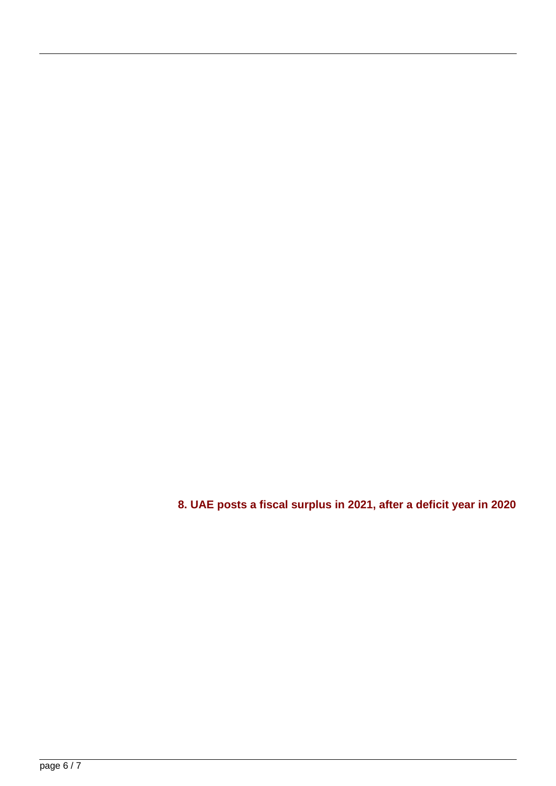

**Total Available Rooms** 

**Hotel Establishments** 







Source: Department of Economy and Tourism. Charts by Nasser Saidi & Associates

**8. UAE posts a fiscal surplus in 2021, after a deficit year in 2020**